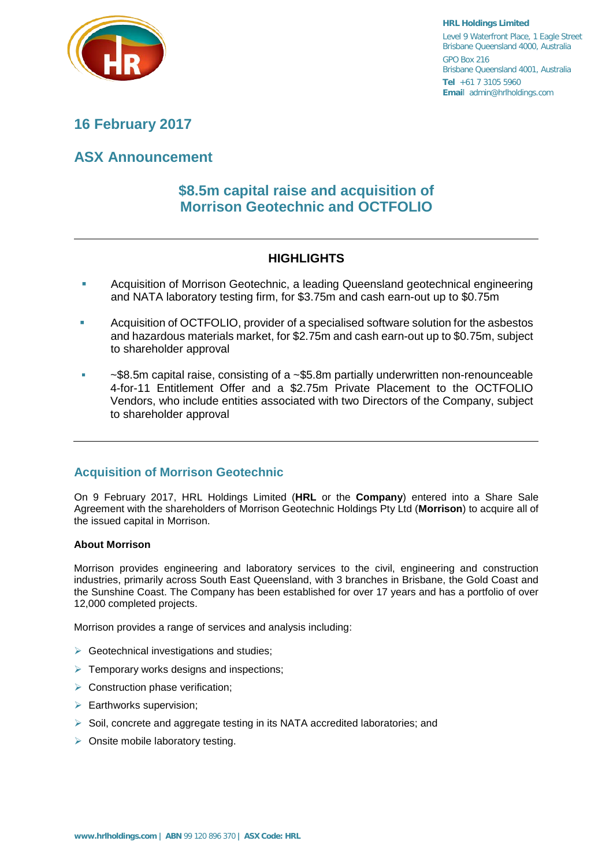

**HRL Holdings Limited** Level 9 Waterfront Place, 1 Eagle Street Brisbane Queensland 4000, Australia GPO Box 216 Brisbane Queensland 4001, Australia **Tel** +61 7 3105 5960 **Emai**l admin@hrlholdings.com

# **16 February 2017**

# **ASX Announcement**

# **\$8.5m capital raise and acquisition of Morrison Geotechnic and OCTFOLIO**

# **HIGHLIGHTS**

- **Acquisition of Morrison Geotechnic, a leading Queensland geotechnical engineering** and NATA laboratory testing firm, for \$3.75m and cash earn-out up to \$0.75m
- Acquisition of OCTFOLIO, provider of a specialised software solution for the asbestos and hazardous materials market, for \$2.75m and cash earn-out up to \$0.75m, subject to shareholder approval
- $\sim$ \$8.5m capital raise, consisting of a  $\sim$  \$5.8m partially underwritten non-renounceable 4-for-11 Entitlement Offer and a \$2.75m Private Placement to the OCTFOLIO Vendors, who include entities associated with two Directors of the Company, subject to shareholder approval

# **Acquisition of Morrison Geotechnic**

On 9 February 2017, HRL Holdings Limited (**HRL** or the **Company**) entered into a Share Sale Agreement with the shareholders of Morrison Geotechnic Holdings Pty Ltd (**Morrison**) to acquire all of the issued capital in Morrison.

## **About Morrison**

Morrison provides engineering and laboratory services to the civil, engineering and construction industries, primarily across South East Queensland, with 3 branches in Brisbane, the Gold Coast and the Sunshine Coast. The Company has been established for over 17 years and has a portfolio of over 12,000 completed projects.

Morrison provides a range of services and analysis including:

- $\triangleright$  Geotechnical investigations and studies;
- $\triangleright$  Temporary works designs and inspections;
- $\triangleright$  Construction phase verification;
- $\triangleright$  Earthworks supervision;
- $\triangleright$  Soil, concrete and aggregate testing in its NATA accredited laboratories; and
- $\triangleright$  Onsite mobile laboratory testing.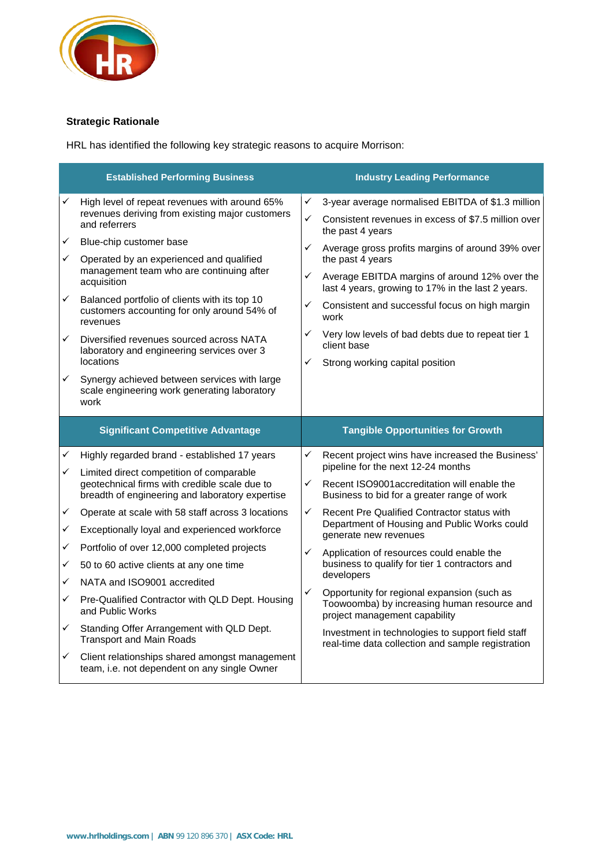

# **Strategic Rationale**

HRL has identified the following key strategic reasons to acquire Morrison:

| <b>Established Performing Business</b> |                                                                                                          | <b>Industry Leading Performance</b> |                                                                                                                             |
|----------------------------------------|----------------------------------------------------------------------------------------------------------|-------------------------------------|-----------------------------------------------------------------------------------------------------------------------------|
| ✓                                      | High level of repeat revenues with around 65%                                                            | ✓                                   | 3-year average normalised EBITDA of \$1.3 million                                                                           |
|                                        | revenues deriving from existing major customers<br>and referrers                                         | $\checkmark$                        | Consistent revenues in excess of \$7.5 million over<br>the past 4 years                                                     |
| ✓                                      | Blue-chip customer base                                                                                  | ✓                                   | Average gross profits margins of around 39% over                                                                            |
| ✓                                      | Operated by an experienced and qualified<br>management team who are continuing after                     |                                     | the past 4 years                                                                                                            |
|                                        | acquisition                                                                                              | ✓                                   | Average EBITDA margins of around 12% over the<br>last 4 years, growing to 17% in the last 2 years.                          |
| ✓                                      | Balanced portfolio of clients with its top 10<br>customers accounting for only around 54% of<br>revenues | ✓                                   | Consistent and successful focus on high margin<br>work                                                                      |
| ✓                                      | Diversified revenues sourced across NATA<br>laboratory and engineering services over 3                   | ✓                                   | Very low levels of bad debts due to repeat tier 1<br>client base                                                            |
|                                        | locations                                                                                                | ✓                                   | Strong working capital position                                                                                             |
| ✓                                      | Synergy achieved between services with large<br>scale engineering work generating laboratory<br>work     |                                     |                                                                                                                             |
|                                        |                                                                                                          |                                     |                                                                                                                             |
|                                        | <b>Significant Competitive Advantage</b>                                                                 |                                     | <b>Tangible Opportunities for Growth</b>                                                                                    |
| ✓                                      | Highly regarded brand - established 17 years                                                             | ✓                                   | Recent project wins have increased the Business'                                                                            |
| ✓                                      | Limited direct competition of comparable                                                                 |                                     | pipeline for the next 12-24 months                                                                                          |
|                                        | geotechnical firms with credible scale due to<br>breadth of engineering and laboratory expertise         | ✓                                   | Recent ISO9001accreditation will enable the<br>Business to bid for a greater range of work                                  |
| ✓                                      | Operate at scale with 58 staff across 3 locations                                                        | ✓                                   | Recent Pre Qualified Contractor status with                                                                                 |
| ✓                                      | Exceptionally loyal and experienced workforce                                                            |                                     | Department of Housing and Public Works could<br>generate new revenues                                                       |
| ✓                                      | Portfolio of over 12,000 completed projects                                                              | ✓                                   | Application of resources could enable the                                                                                   |
| ✓                                      | 50 to 60 active clients at any one time                                                                  |                                     | business to qualify for tier 1 contractors and                                                                              |
| ✓                                      | NATA and ISO9001 accredited                                                                              |                                     | developers                                                                                                                  |
| ✓                                      | Pre-Qualified Contractor with QLD Dept. Housing<br>and Public Works                                      | ✓                                   | Opportunity for regional expansion (such as<br>Toowoomba) by increasing human resource and<br>project management capability |
| ✓                                      | Standing Offer Arrangement with QLD Dept.<br><b>Transport and Main Roads</b>                             |                                     | Investment in technologies to support field staff<br>real-time data collection and sample registration                      |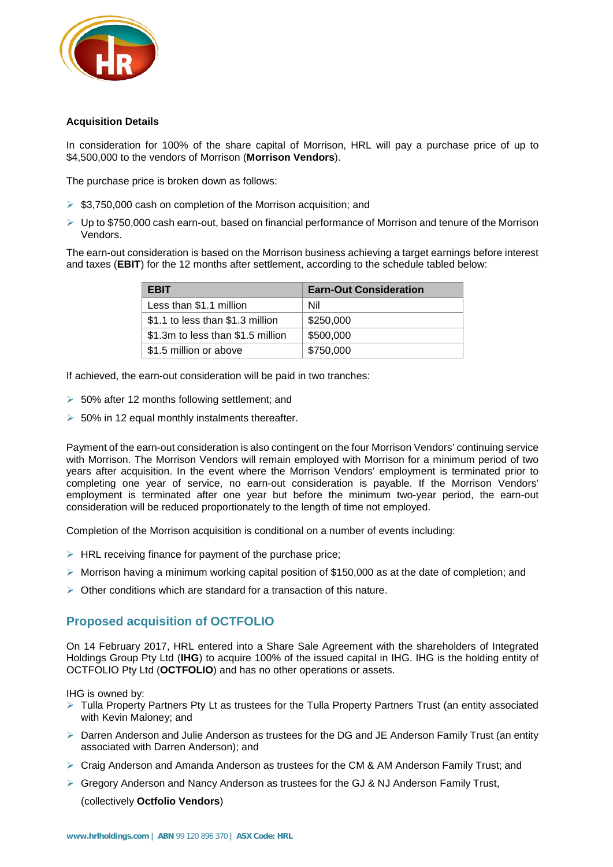

## **Acquisition Details**

In consideration for 100% of the share capital of Morrison, HRL will pay a purchase price of up to \$4,500,000 to the vendors of Morrison (**Morrison Vendors**).

The purchase price is broken down as follows:

- $\triangleright$  \$3,750,000 cash on completion of the Morrison acquisition; and
- $\triangleright$  Up to \$750,000 cash earn-out, based on financial performance of Morrison and tenure of the Morrison Vendors.

The earn-out consideration is based on the Morrison business achieving a target earnings before interest and taxes (**EBIT**) for the 12 months after settlement, according to the schedule tabled below:

| <b>EBIT</b>                       | <b>Earn-Out Consideration</b> |
|-----------------------------------|-------------------------------|
| Less than \$1.1 million           | Nil                           |
| \$1.1 to less than \$1.3 million  | \$250,000                     |
| \$1.3m to less than \$1.5 million | \$500,000                     |
| \$1.5 million or above            | \$750,000                     |

If achieved, the earn-out consideration will be paid in two tranches:

- $\geq 50\%$  after 12 months following settlement; and
- $\geq 50\%$  in 12 equal monthly instalments thereafter.

Payment of the earn-out consideration is also contingent on the four Morrison Vendors' continuing service with Morrison. The Morrison Vendors will remain employed with Morrison for a minimum period of two years after acquisition. In the event where the Morrison Vendors' employment is terminated prior to completing one year of service, no earn-out consideration is payable. If the Morrison Vendors' employment is terminated after one year but before the minimum two-year period, the earn-out consideration will be reduced proportionately to the length of time not employed.

Completion of the Morrison acquisition is conditional on a number of events including:

- $\triangleright$  HRL receiving finance for payment of the purchase price;
- $\triangleright$  Morrison having a minimum working capital position of \$150,000 as at the date of completion; and
- $\triangleright$  Other conditions which are standard for a transaction of this nature.

# **Proposed acquisition of OCTFOLIO**

On 14 February 2017, HRL entered into a Share Sale Agreement with the shareholders of Integrated Holdings Group Pty Ltd (**IHG**) to acquire 100% of the issued capital in IHG. IHG is the holding entity of OCTFOLIO Pty Ltd (**OCTFOLIO**) and has no other operations or assets.

IHG is owned by:

- $\triangleright$  Tulla Property Partners Pty Lt as trustees for the Tulla Property Partners Trust (an entity associated with Kevin Maloney; and
- $\triangleright$  Darren Anderson and Julie Anderson as trustees for the DG and JE Anderson Family Trust (an entity associated with Darren Anderson); and
- $\triangleright$  Craig Anderson and Amanda Anderson as trustees for the CM & AM Anderson Family Trust; and
- $\triangleright$  Gregory Anderson and Nancy Anderson as trustees for the GJ & NJ Anderson Family Trust,

(collectively **Octfolio Vendors**)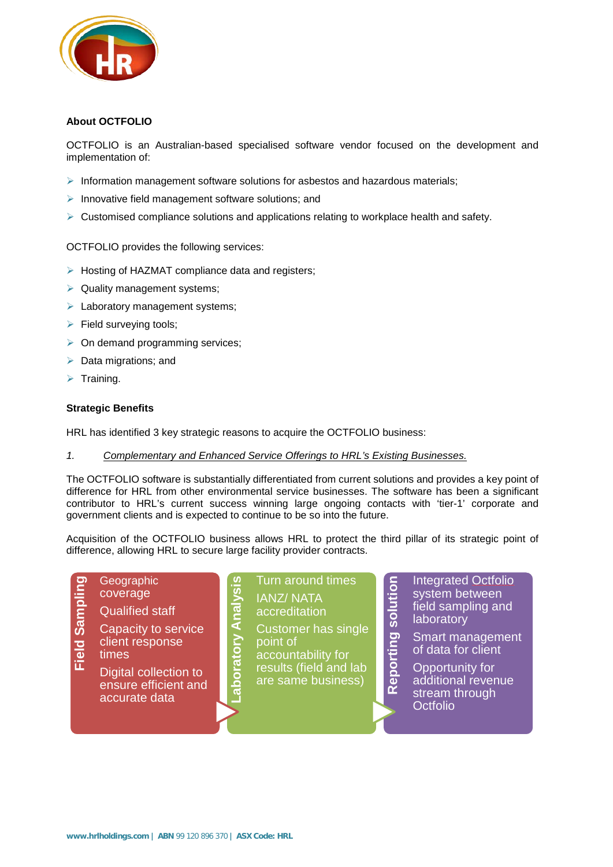

## **About OCTFOLIO**

OCTFOLIO is an Australian-based specialised software vendor focused on the development and implementation of:

- $\triangleright$  Information management software solutions for asbestos and hazardous materials;
- $\triangleright$  Innovative field management software solutions; and
- $\triangleright$  Customised compliance solutions and applications relating to workplace health and safety.

OCTFOLIO provides the following services:

- $\triangleright$  Hosting of HAZMAT compliance data and registers;
- $\triangleright$  Quality management systems:
- $\blacktriangleright$  Laboratory management systems;
- $\triangleright$  Field surveying tools;
- $\triangleright$  On demand programming services;
- $\triangleright$  Data migrations; and
- $\triangleright$  Training.

#### **Strategic Benefits**

HRL has identified 3 key strategic reasons to acquire the OCTFOLIO business:

**Laboratory Analysis**

aboratory Analysi.

### *1. Complementary and Enhanced Service Offerings to HRL's Existing Businesses.*

The OCTFOLIO software is substantially differentiated from current solutions and provides a key point of difference for HRL from other environmental service businesses. The software has been a significant contributor to HRL's current success winning large ongoing contacts with 'tier-1' corporate and government clients and is expected to continue to be so into the future.

Acquisition of the OCTFOLIO business allows HRL to protect the third pillar of its strategic point of difference, allowing HRL to secure large facility provider contracts.

**Field Sampling** Field Sampli

client response times Digital collection to

Capacity to service

**Geographic** coverage

Qualified staff

ensure efficient and accurate data

Turn around times IANZ/ NATA accreditation

Customer has single point of accountability for results (field and lab are same business)

Integrated Octfolio system between field sampling and **laboratory** 

**Smart management** of data for client

**Reporting solution** Reporting solution Opportunity for additional revenue stream through **Octfolio**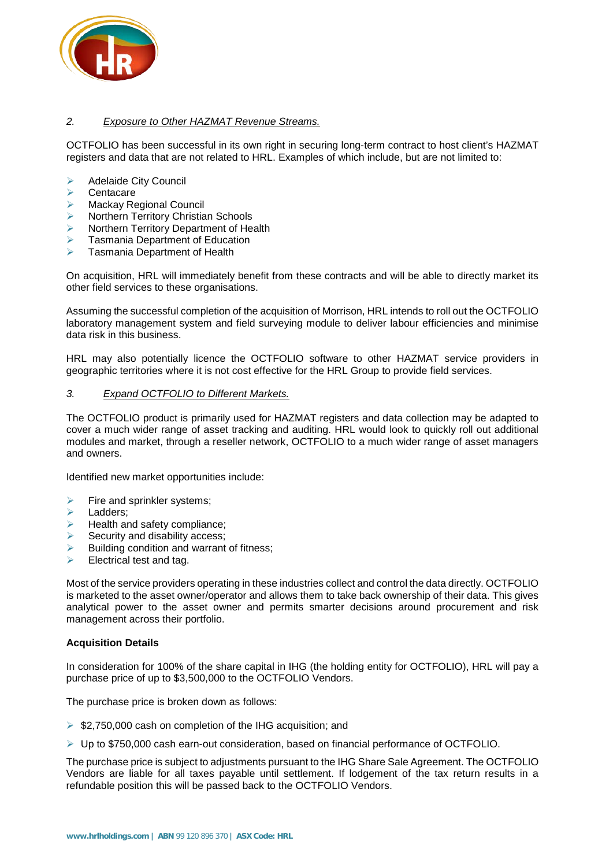

## *2. Exposure to Other HAZMAT Revenue Streams.*

OCTFOLIO has been successful in its own right in securing long-term contract to host client's HAZMAT registers and data that are not related to HRL. Examples of which include, but are not limited to:

- Adelaide City Council
- $\triangleright$  Centacare
- ▶ Mackay Regional Council
- Northern Territory Christian Schools
- Northern Territory Department of Health
- Tasmania Department of Education
- Tasmania Department of Health

On acquisition, HRL will immediately benefit from these contracts and will be able to directly market its other field services to these organisations.

Assuming the successful completion of the acquisition of Morrison, HRL intends to roll out the OCTFOLIO laboratory management system and field surveying module to deliver labour efficiencies and minimise data risk in this business.

HRL may also potentially licence the OCTFOLIO software to other HAZMAT service providers in geographic territories where it is not cost effective for the HRL Group to provide field services.

#### *3. Expand OCTFOLIO to Different Markets.*

The OCTFOLIO product is primarily used for HAZMAT registers and data collection may be adapted to cover a much wider range of asset tracking and auditing. HRL would look to quickly roll out additional modules and market, through a reseller network, OCTFOLIO to a much wider range of asset managers and owners.

Identified new market opportunities include:

- Fire and sprinkler systems;
- Ladders;
- Health and safety compliance;
- Security and disability access;
- Building condition and warrant of fitness;
- $\triangleright$  Electrical test and tag.

Most of the service providers operating in these industries collect and control the data directly. OCTFOLIO is marketed to the asset owner/operator and allows them to take back ownership of their data. This gives analytical power to the asset owner and permits smarter decisions around procurement and risk management across their portfolio.

#### **Acquisition Details**

In consideration for 100% of the share capital in IHG (the holding entity for OCTFOLIO), HRL will pay a purchase price of up to \$3,500,000 to the OCTFOLIO Vendors.

The purchase price is broken down as follows:

- ▶ \$2,750,000 cash on completion of the IHG acquisition; and
- $\triangleright$  Up to \$750,000 cash earn-out consideration, based on financial performance of OCTFOLIO.

The purchase price is subject to adjustments pursuant to the IHG Share Sale Agreement. The OCTFOLIO Vendors are liable for all taxes payable until settlement. If lodgement of the tax return results in a refundable position this will be passed back to the OCTFOLIO Vendors.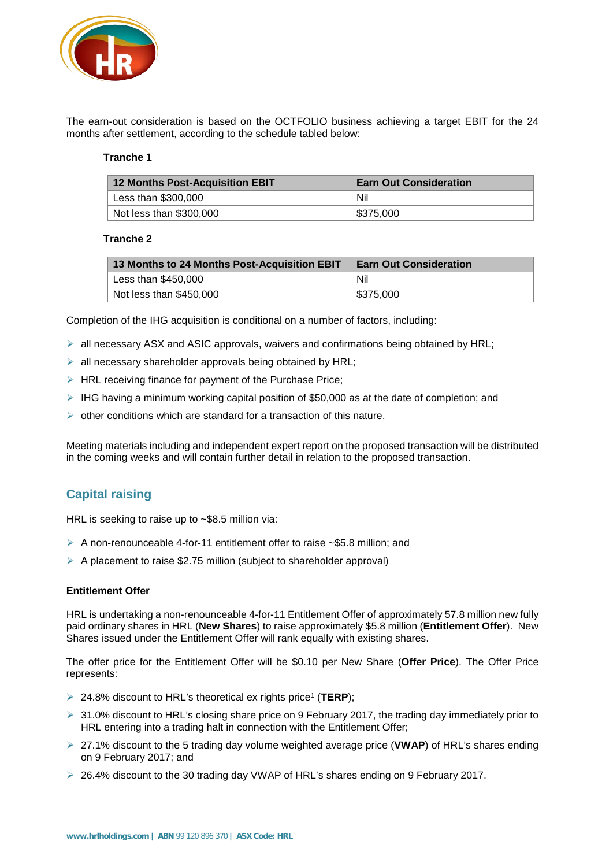

The earn-out consideration is based on the OCTFOLIO business achieving a target EBIT for the 24 months after settlement, according to the schedule tabled below:

#### **Tranche 1**

| 12 Months Post-Acquisition EBIT | <b>Earn Out Consideration</b> |  |
|---------------------------------|-------------------------------|--|
| Less than \$300,000             | Nil                           |  |
| Not less than \$300,000         | \$375,000                     |  |

#### **Tranche 2**

| 13 Months to 24 Months Post-Acquisition EBIT | <b>Earn Out Consideration</b> |
|----------------------------------------------|-------------------------------|
| Less than $$450,000$                         | Nil                           |
| Not less than \$450,000                      | \$375,000                     |

Completion of the IHG acquisition is conditional on a number of factors, including:

- $\triangleright$  all necessary ASX and ASIC approvals, waivers and confirmations being obtained by HRL;
- $\triangleright$  all necessary shareholder approvals being obtained by HRL;
- $\triangleright$  HRL receiving finance for payment of the Purchase Price;
- $\triangleright$  IHG having a minimum working capital position of \$50,000 as at the date of completion; and
- $\triangleright$  other conditions which are standard for a transaction of this nature.

Meeting materials including and independent expert report on the proposed transaction will be distributed in the coming weeks and will contain further detail in relation to the proposed transaction.

# **Capital raising**

HRL is seeking to raise up to ~\$8.5 million via:

- $\triangleright$  A non-renounceable 4-for-11 entitlement offer to raise ~\$5.8 million; and
- $\triangleright$  A placement to raise \$2.75 million (subject to shareholder approval)

#### **Entitlement Offer**

HRL is undertaking a non-renounceable 4-for-11 Entitlement Offer of approximately 57.8 million new fully paid ordinary shares in HRL (**New Shares**) to raise approximately \$5.8 million (**Entitlement Offer**). New Shares issued under the Entitlement Offer will rank equally with existing shares.

The offer price for the Entitlement Offer will be \$0.10 per New Share (**Offer Price**). The Offer Price represents:

- ▶ 24.8% discount to HRL's theoretical ex rights price<sup>1</sup> (TERP);
- $\geq 31.0\%$  discount to HRL's closing share price on 9 February 2017, the trading day immediately prior to HRL entering into a trading halt in connection with the Entitlement Offer;
- 27.1% discount to the 5 trading day volume weighted average price (**VWAP**) of HRL's shares ending on 9 February 2017; and
- $\geq$  26.4% discount to the 30 trading day VWAP of HRL's shares ending on 9 February 2017.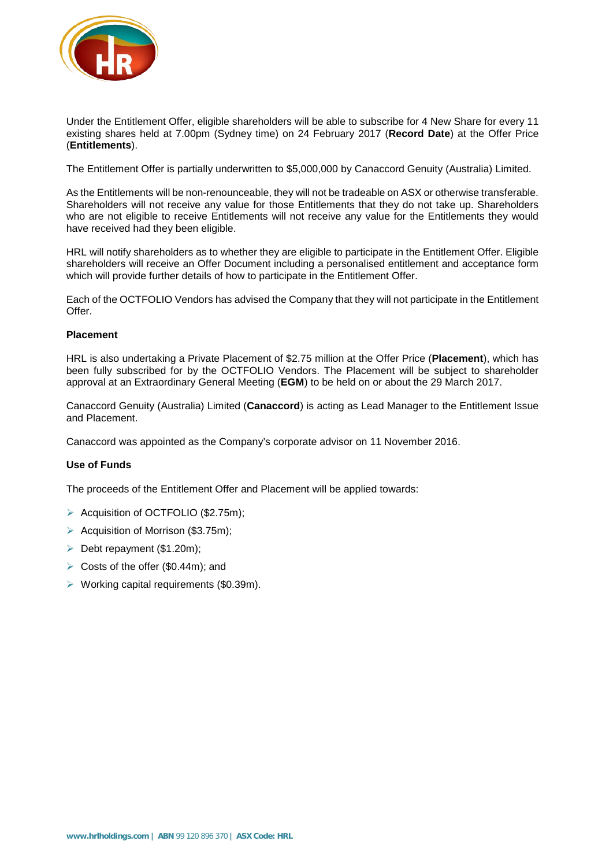

Under the Entitlement Offer, eligible shareholders will be able to subscribe for 4 New Share for every 11 existing shares held at 7.00pm (Sydney time) on 24 February 2017 (**Record Date**) at the Offer Price (**Entitlements**).

The Entitlement Offer is partially underwritten to \$5,000,000 by Canaccord Genuity (Australia) Limited.

As the Entitlements will be non-renounceable, they will not be tradeable on ASX or otherwise transferable. Shareholders will not receive any value for those Entitlements that they do not take up. Shareholders who are not eligible to receive Entitlements will not receive any value for the Entitlements they would have received had they been eligible.

HRL will notify shareholders as to whether they are eligible to participate in the Entitlement Offer. Eligible shareholders will receive an Offer Document including a personalised entitlement and acceptance form which will provide further details of how to participate in the Entitlement Offer.

Each of the OCTFOLIO Vendors has advised the Company that they will not participate in the Entitlement Offer.

#### **Placement**

HRL is also undertaking a Private Placement of \$2.75 million at the Offer Price (**Placement**), which has been fully subscribed for by the OCTFOLIO Vendors. The Placement will be subject to shareholder approval at an Extraordinary General Meeting (**EGM**) to be held on or about the 29 March 2017.

Canaccord Genuity (Australia) Limited (**Canaccord**) is acting as Lead Manager to the Entitlement Issue and Placement.

Canaccord was appointed as the Company's corporate advisor on 11 November 2016.

#### **Use of Funds**

The proceeds of the Entitlement Offer and Placement will be applied towards:

- > Acquisition of OCTFOLIO (\$2.75m);
- $\triangleright$  Acquisition of Morrison (\$3.75m);
- $\triangleright$  Debt repayment (\$1.20m):
- $\triangleright$  Costs of the offer (\$0.44m); and
- $\triangleright$  Working capital requirements (\$0.39m).